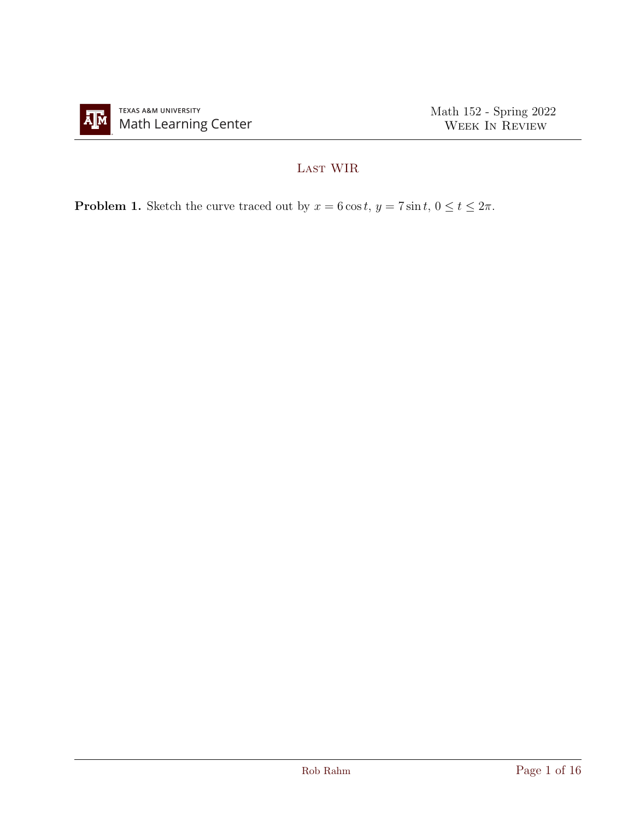

## LAST WIR

**Problem 1.** Sketch the curve traced out by  $x = 6 \cos t$ ,  $y = 7 \sin t$ ,  $0 \le t \le 2\pi$ .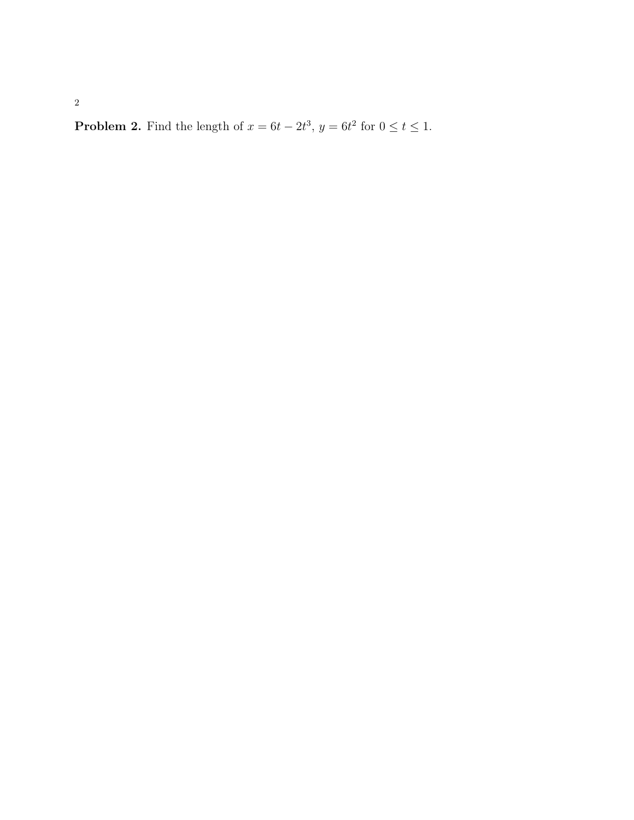**Problem 2.** Find the length of  $x = 6t - 2t^3$ ,  $y = 6t^2$  for  $0 \le t \le 1$ .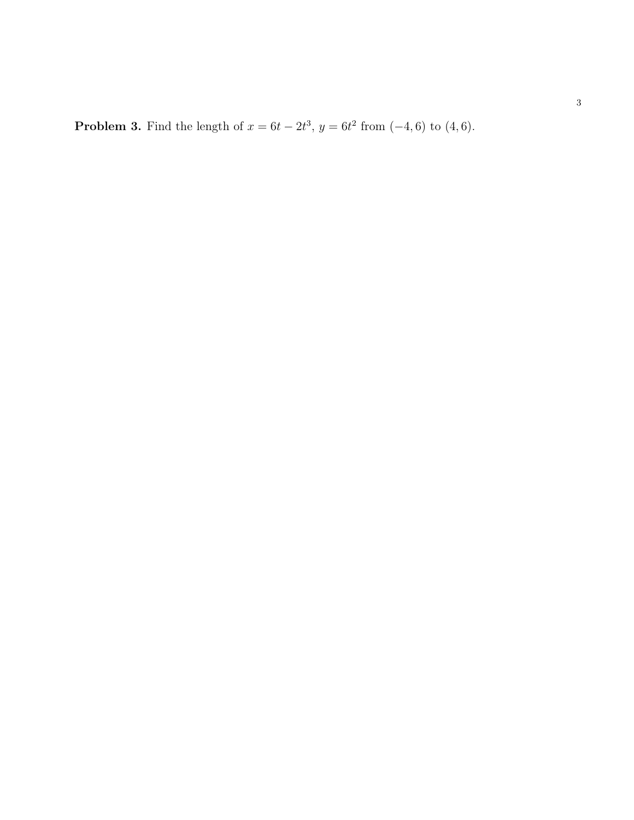**Problem 3.** Find the length of  $x = 6t - 2t^3$ ,  $y = 6t^2$  from  $(-4, 6)$  to  $(4, 6)$ .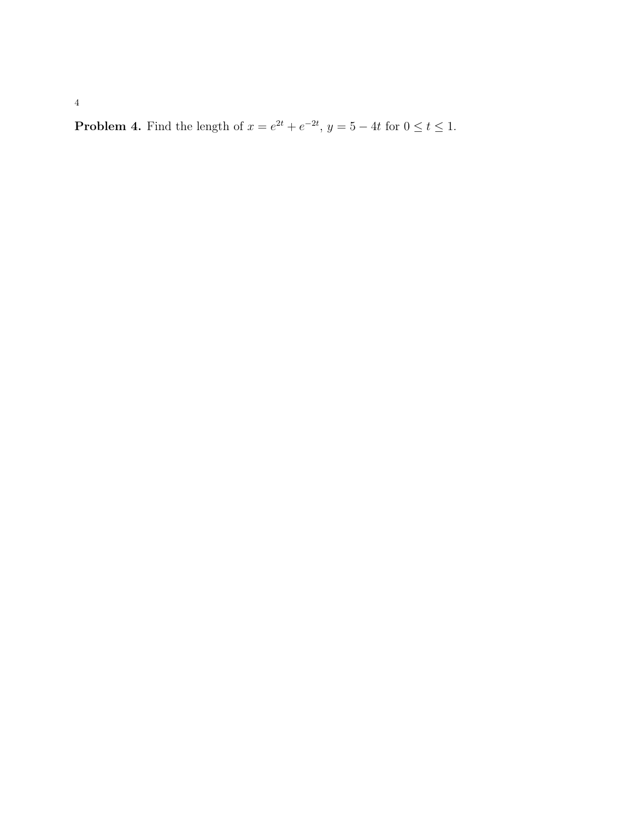**Problem 4.** Find the length of  $x = e^{2t} + e^{-2t}$ ,  $y = 5 - 4t$  for  $0 \le t \le 1$ .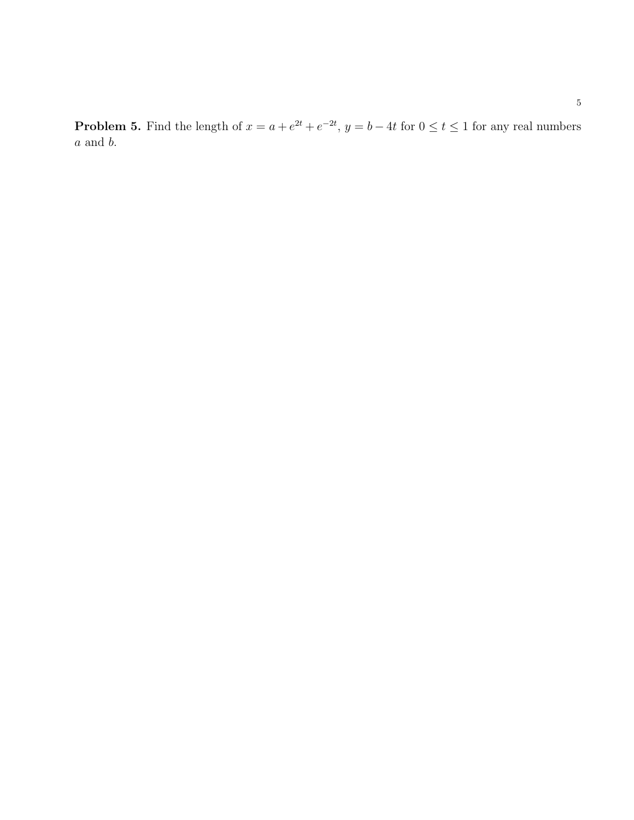**Problem 5.** Find the length of  $x = a + e^{2t} + e^{-2t}$ ,  $y = b - 4t$  for  $0 \le t \le 1$  for any real numbers  $\boldsymbol{a}$  and  $\boldsymbol{b}.$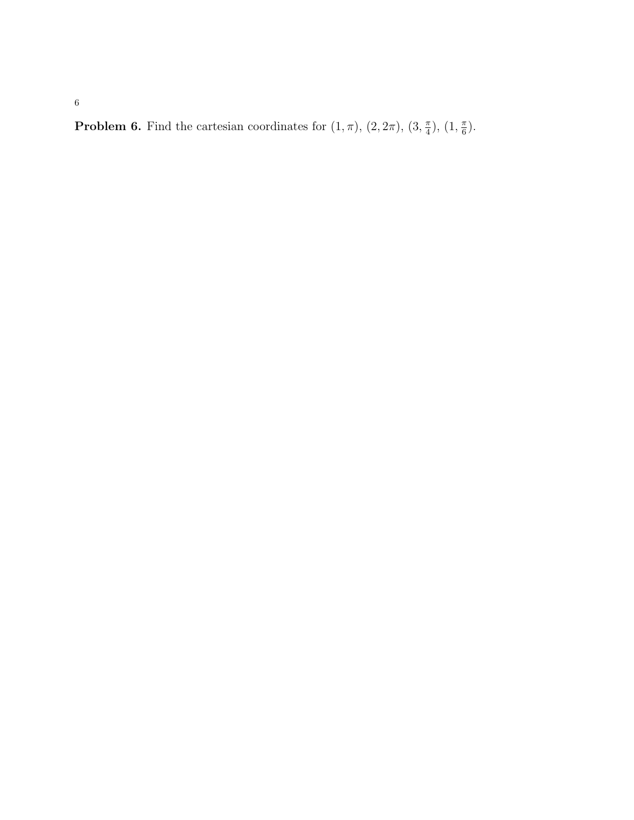**Problem 6.** Find the cartesian coordinates for  $(1, \pi)$ ,  $(2, 2\pi)$ ,  $(3, \frac{\pi}{4})$  $(\frac{\pi}{4}), (1, \frac{\pi}{6})$  $\frac{\pi}{6}$ .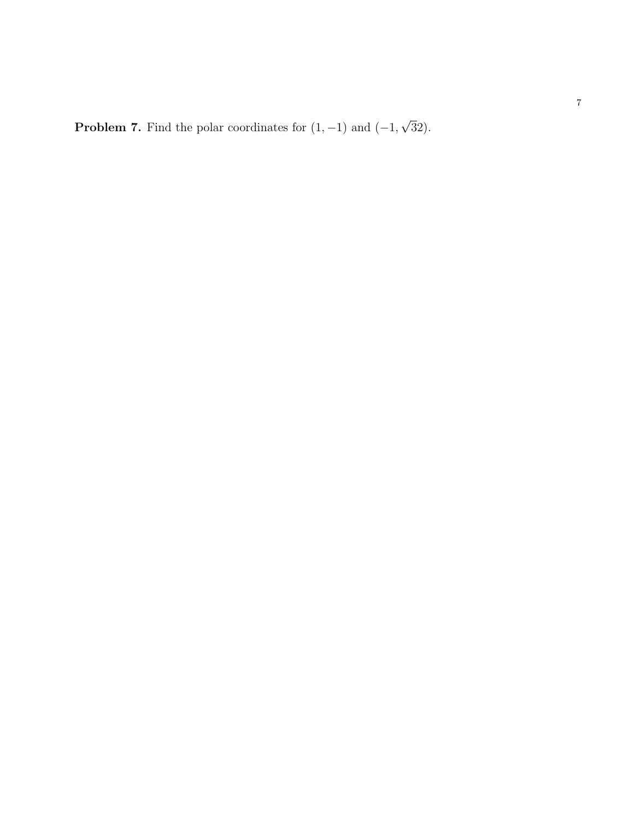**Problem 7.** Find the polar coordinates for  $(1, -1)$  and  $(-1,$ √ 32).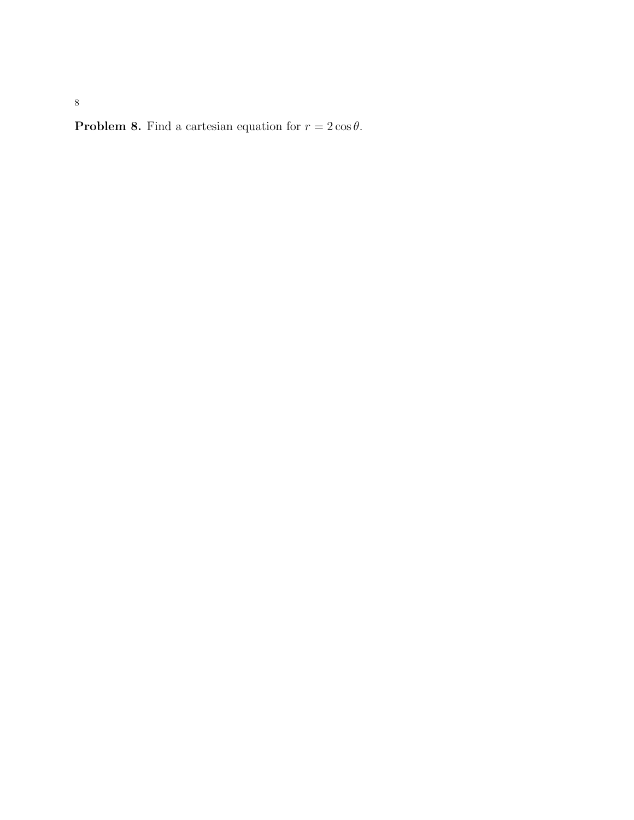**Problem 8.** Find a cartesian equation for  $r = 2 \cos \theta$ .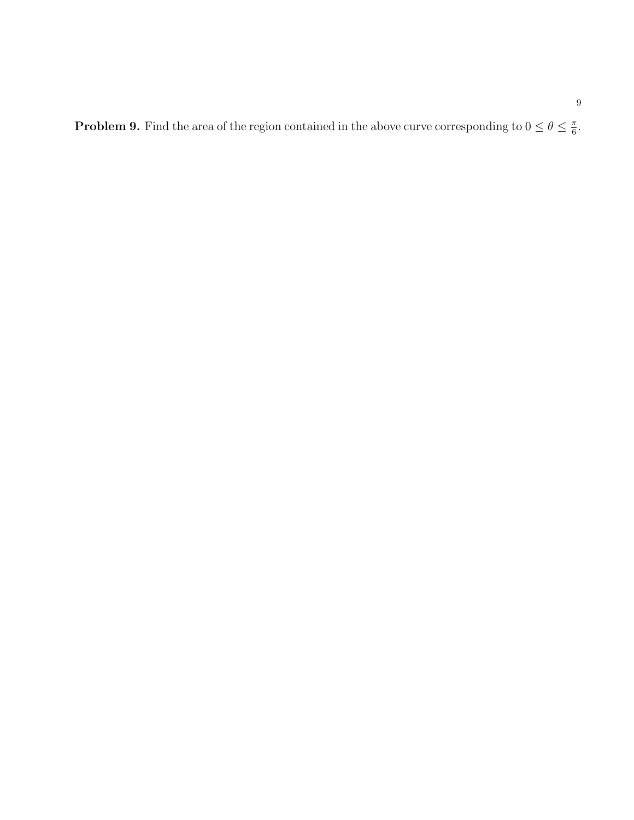**Problem 9.** Find the area of the region contained in the above curve corresponding to  $0 \le \theta \le \frac{\pi}{6}$  $\frac{\pi}{6}$ .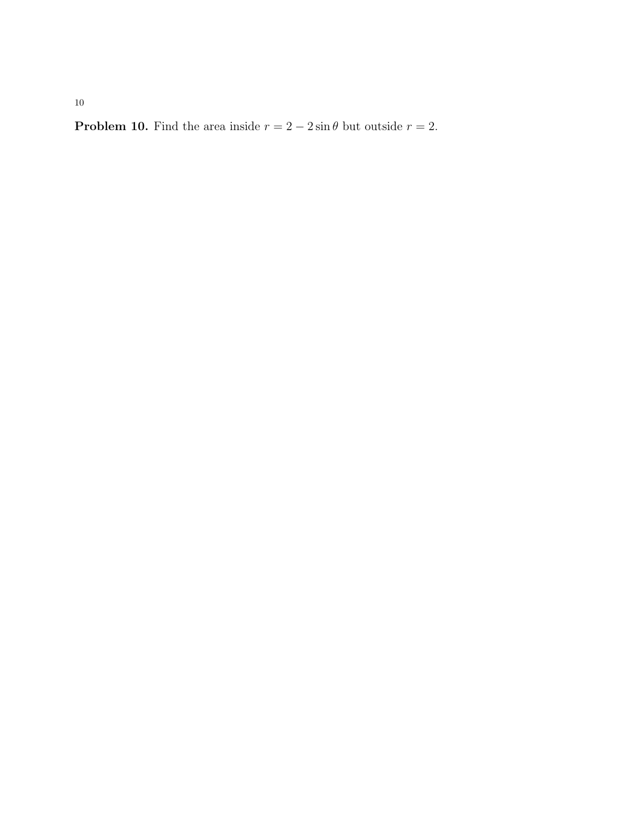**Problem 10.** Find the area inside  $r = 2 - 2 \sin \theta$  but outside  $r = 2$ .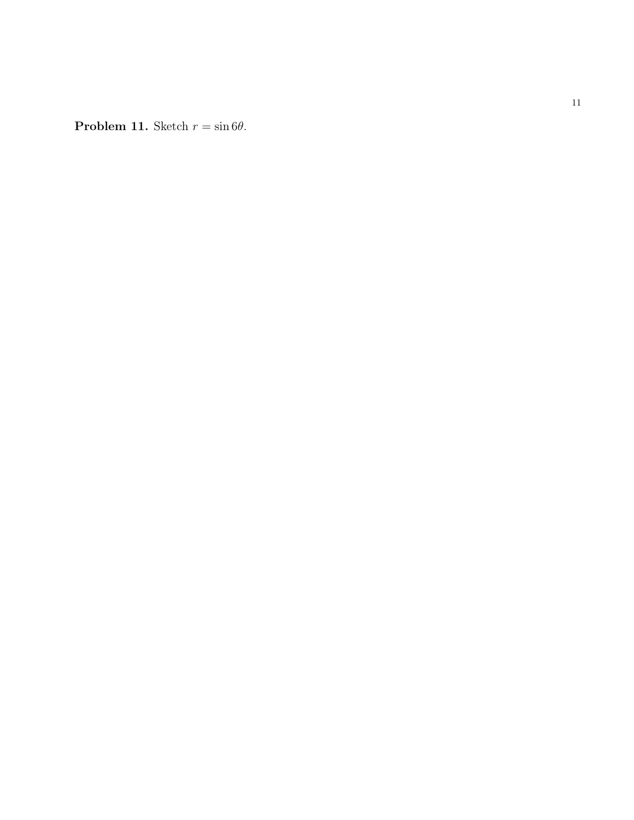**Problem 11.** Sketch  $r = \sin 6\theta$ .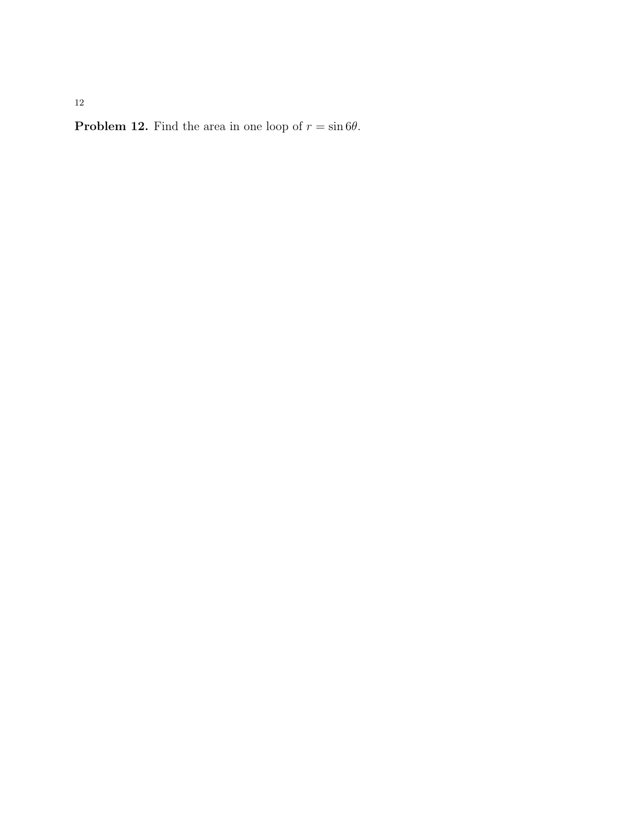**Problem 12.** Find the area in one loop of  $r = \sin 6\theta$ .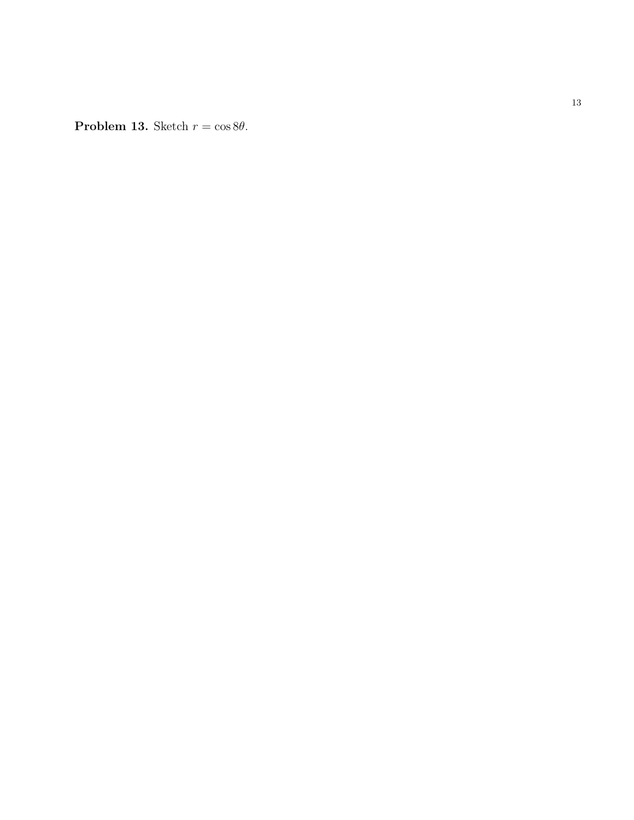**Problem 13.** Sketch  $r = \cos 8\theta$ .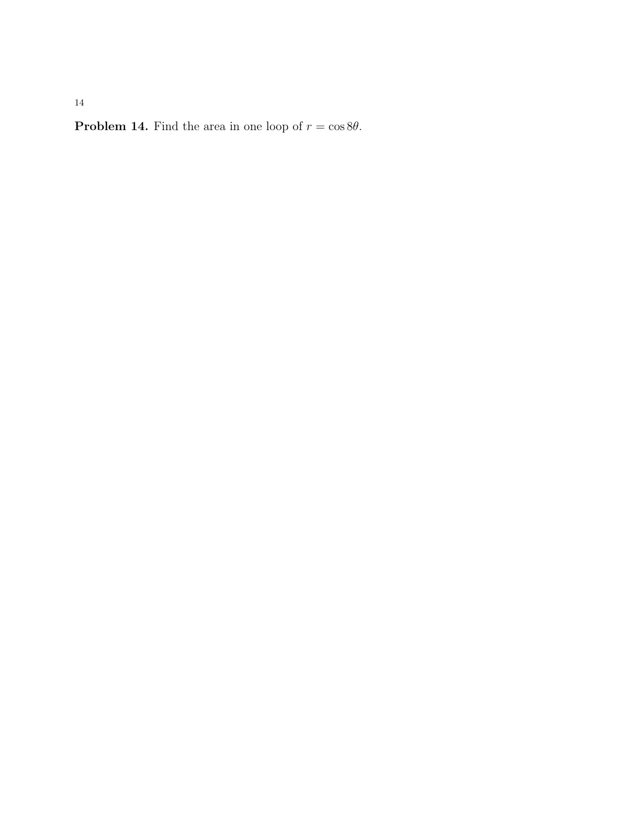**Problem 14.** Find the area in one loop of  $r = \cos 8\theta$ .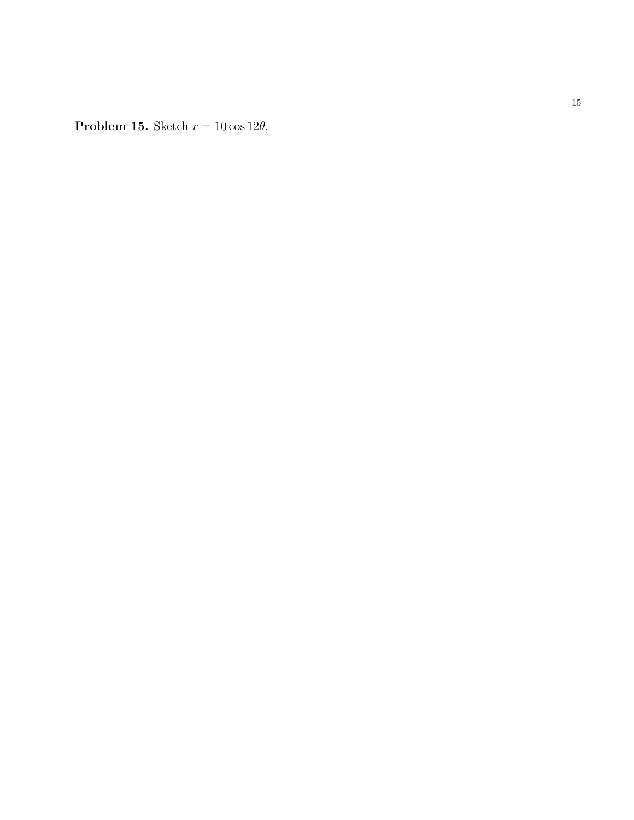**Problem 15.** Sketch  $r = 10 \cos 12\theta$ .